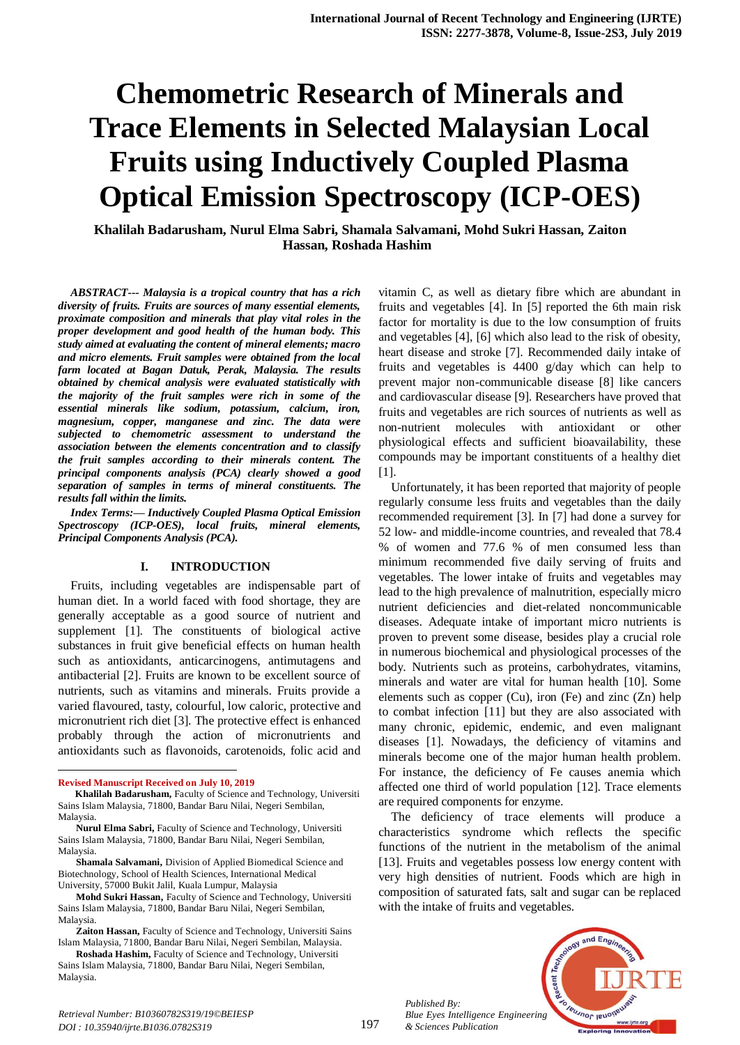# **Chemometric Research of Minerals and Trace Elements in Selected Malaysian Local Fruits using Inductively Coupled Plasma Optical Emission Spectroscopy (ICP-OES)**

**Khalilah Badarusham, Nurul Elma Sabri, Shamala Salvamani, Mohd Sukri Hassan, Zaiton Hassan, Roshada Hashim**

*ABSTRACT--- Malaysia is a tropical country that has a rich diversity of fruits. Fruits are sources of many essential elements, proximate composition and minerals that play vital roles in the proper development and good health of the human body. This study aimed at evaluating the content of mineral elements; macro and micro elements. Fruit samples were obtained from the local farm located at Bagan Datuk, Perak, Malaysia. The results obtained by chemical analysis were evaluated statistically with the majority of the fruit samples were rich in some of the essential minerals like sodium, potassium, calcium, iron, magnesium, copper, manganese and zinc. The data were subjected to chemometric assessment to understand the association between the elements concentration and to classify the fruit samples according to their minerals content. The principal components analysis (PCA) clearly showed a good separation of samples in terms of mineral constituents. The results fall within the limits.*

*Index Terms:— Inductively Coupled Plasma Optical Emission Spectroscopy (ICP-OES), local fruits, mineral elements, Principal Components Analysis (PCA).*

#### **I. INTRODUCTION**

Fruits, including vegetables are indispensable part of human diet. In a world faced with food shortage, they are generally acceptable as a good source of nutrient and supplement [1]. The constituents of biological active substances in fruit give beneficial effects on human health such as antioxidants, anticarcinogens, antimutagens and antibacterial [2]. Fruits are known to be excellent source of nutrients, such as vitamins and minerals. Fruits provide a varied flavoured, tasty, colourful, low caloric, protective and micronutrient rich diet [3]. The protective effect is enhanced probably through the action of micronutrients and antioxidants such as flavonoids, carotenoids, folic acid and

1

**Shamala Salvamani,** Division of Applied Biomedical Science and Biotechnology, School of Health Sciences, International Medical University, 57000 Bukit Jalil, Kuala Lumpur, Malaysia

**Mohd Sukri Hassan,** Faculty of Science and Technology, Universiti Sains Islam Malaysia, 71800, Bandar Baru Nilai, Negeri Sembilan, Malaysia.

vitamin C, as well as dietary fibre which are abundant in fruits and vegetables [4]. In [5] reported the 6th main risk factor for mortality is due to the low consumption of fruits and vegetables [4], [6] which also lead to the risk of obesity, heart disease and stroke [7]. Recommended daily intake of fruits and vegetables is 4400 g/day which can help to prevent major non-communicable disease [8] like cancers and cardiovascular disease [9]. Researchers have proved that fruits and vegetables are rich sources of nutrients as well as non-nutrient molecules with antioxidant or other physiological effects and sufficient bioavailability, these compounds may be important constituents of a healthy diet [1].

Unfortunately, it has been reported that majority of people regularly consume less fruits and vegetables than the daily recommended requirement [3]. In [7] had done a survey for 52 low- and middle-income countries, and revealed that 78.4 % of women and 77.6 % of men consumed less than minimum recommended five daily serving of fruits and vegetables. The lower intake of fruits and vegetables may lead to the high prevalence of malnutrition, especially micro nutrient deficiencies and diet-related noncommunicable diseases. Adequate intake of important micro nutrients is proven to prevent some disease, besides play a crucial role in numerous biochemical and physiological processes of the body. Nutrients such as proteins, carbohydrates, vitamins, minerals and water are vital for human health [10]. Some elements such as copper (Cu), iron (Fe) and zinc (Zn) help to combat infection [11] but they are also associated with many chronic, epidemic, endemic, and even malignant diseases [1]. Nowadays, the deficiency of vitamins and minerals become one of the major human health problem. For instance, the deficiency of Fe causes anemia which affected one third of world population [12]. Trace elements are required components for enzyme.

The deficiency of trace elements will produce a characteristics syndrome which reflects the specific functions of the nutrient in the metabolism of the animal [13]. Fruits and vegetables possess low energy content with very high densities of nutrient. Foods which are high in composition of saturated fats, salt and sugar can be replaced with the intake of fruits and vegetables.

*Published By: Blue Eyes Intelligence Engineering & Sciences Publication* 



**Revised Manuscript Received on July 10, 2019**

**Khalilah Badarusham,** Faculty of Science and Technology, Universiti Sains Islam Malaysia, 71800, Bandar Baru Nilai, Negeri Sembilan, Malaysia.

**Nurul Elma Sabri,** Faculty of Science and Technology, Universiti Sains Islam Malaysia, 71800, Bandar Baru Nilai, Negeri Sembilan, Malaysia.

**Zaiton Hassan,** Faculty of Science and Technology, Universiti Sains Islam Malaysia, 71800, Bandar Baru Nilai, Negeri Sembilan, Malaysia.

**Roshada Hashim,** Faculty of Science and Technology, Universiti Sains Islam Malaysia, 71800, Bandar Baru Nilai, Negeri Sembilan, Malaysia.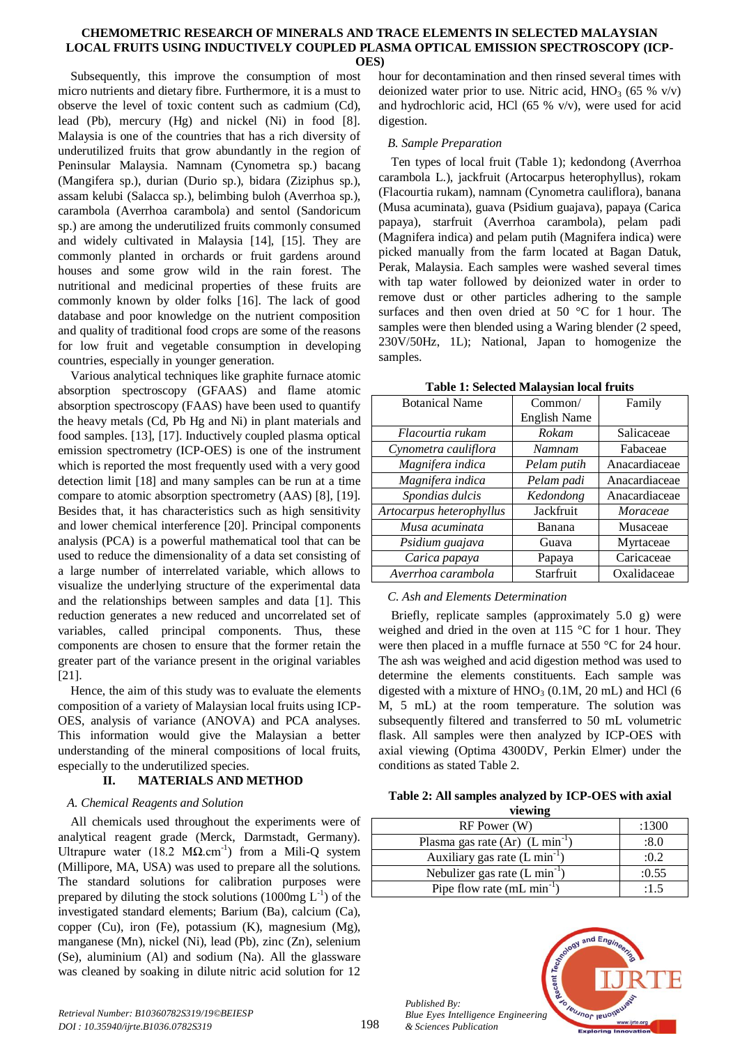Subsequently, this improve the consumption of most micro nutrients and dietary fibre. Furthermore, it is a must to observe the level of toxic content such as cadmium (Cd), lead (Pb), mercury (Hg) and nickel (Ni) in food [8]. Malaysia is one of the countries that has a rich diversity of underutilized fruits that grow abundantly in the region of Peninsular Malaysia. Namnam (Cynometra sp.) bacang (Mangifera sp.), durian (Durio sp.), bidara (Ziziphus sp.), assam kelubi (Salacca sp.), belimbing buloh (Averrhoa sp.), carambola (Averrhoa carambola) and sentol (Sandoricum sp.) are among the underutilized fruits commonly consumed and widely cultivated in Malaysia [14], [15]. They are commonly planted in orchards or fruit gardens around houses and some grow wild in the rain forest. The nutritional and medicinal properties of these fruits are commonly known by older folks [16]. The lack of good database and poor knowledge on the nutrient composition and quality of traditional food crops are some of the reasons for low fruit and vegetable consumption in developing countries, especially in younger generation.

Various analytical techniques like graphite furnace atomic absorption spectroscopy (GFAAS) and flame atomic absorption spectroscopy (FAAS) have been used to quantify the heavy metals (Cd, Pb Hg and Ni) in plant materials and food samples. [13], [17]. Inductively coupled plasma optical emission spectrometry (ICP-OES) is one of the instrument which is reported the most frequently used with a very good detection limit [18] and many samples can be run at a time compare to atomic absorption spectrometry (AAS) [8], [19]. Besides that, it has characteristics such as high sensitivity and lower chemical interference [20]. Principal components analysis (PCA) is a powerful mathematical tool that can be used to reduce the dimensionality of a data set consisting of a large number of interrelated variable, which allows to visualize the underlying structure of the experimental data and the relationships between samples and data [1]. This reduction generates a new reduced and uncorrelated set of variables, called principal components. Thus, these components are chosen to ensure that the former retain the greater part of the variance present in the original variables [21].

Hence, the aim of this study was to evaluate the elements composition of a variety of Malaysian local fruits using ICP-OES, analysis of variance (ANOVA) and PCA analyses. This information would give the Malaysian a better understanding of the mineral compositions of local fruits, especially to the underutilized species.

# **II. MATERIALS AND METHOD**

# *A. Chemical Reagents and Solution*

All chemicals used throughout the experiments were of analytical reagent grade (Merck, Darmstadt, Germany). Ultrapure water (18.2 M $\Omega$ .cm<sup>-1</sup>) from a Mili-Q system (Millipore, MA, USA) was used to prepare all the solutions. The standard solutions for calibration purposes were prepared by diluting the stock solutions  $(1000mg L<sup>-1</sup>)$  of the investigated standard elements; Barium (Ba), calcium (Ca), copper (Cu), iron (Fe), potassium (K), magnesium (Mg), manganese (Mn), nickel (Ni), lead (Pb), zinc (Zn), selenium (Se), aluminium (Al) and sodium (Na). All the glassware was cleaned by soaking in dilute nitric acid solution for 12

hour for decontamination and then rinsed several times with deionized water prior to use. Nitric acid,  $HNO<sub>3</sub>$  (65 % v/v) and hydrochloric acid, HCl (65 % v/v), were used for acid digestion.

# *B. Sample Preparation*

Ten types of local fruit (Table 1); kedondong (Averrhoa carambola L.), jackfruit (Artocarpus heterophyllus), rokam (Flacourtia rukam), namnam (Cynometra cauliflora), banana (Musa acuminata), guava (Psidium guajava), papaya (Carica papaya), starfruit (Averrhoa carambola), pelam padi (Magnifera indica) and pelam putih (Magnifera indica) were picked manually from the farm located at Bagan Datuk, Perak, Malaysia. Each samples were washed several times with tap water followed by deionized water in order to remove dust or other particles adhering to the sample surfaces and then oven dried at 50 °C for 1 hour. The samples were then blended using a Waring blender (2 speed, 230V/50Hz, 1L); National, Japan to homogenize the samples.

**Table 1: Selected Malaysian local fruits**

| <b>Botanical Name</b>    | Common/             | Family          |  |  |  |
|--------------------------|---------------------|-----------------|--|--|--|
|                          | <b>English Name</b> |                 |  |  |  |
| Flacourtia rukam         | Rokam               | Salicaceae      |  |  |  |
| Cynometra cauliflora     | Namnam              | Fabaceae        |  |  |  |
| Magnifera indica         | Pelam putih         | Anacardiaceae   |  |  |  |
| Magnifera indica         | Pelam padi          | Anacardiaceae   |  |  |  |
| Spondias dulcis          | Kedondong           | Anacardiaceae   |  |  |  |
| Artocarpus heterophyllus | Jackfruit           | <i>Moraceae</i> |  |  |  |
| Musa acuminata           | Banana              | Musaceae        |  |  |  |
| Psidium guajava          | Guava               | Myrtaceae       |  |  |  |
| Carica papaya            | Papaya              | Caricaceae      |  |  |  |
| Averrhoa carambola       | Starfruit           | Oxalidaceae     |  |  |  |

# *C. Ash and Elements Determination*

Briefly, replicate samples (approximately 5.0 g) were weighed and dried in the oven at 115 °C for 1 hour. They were then placed in a muffle furnace at 550 °C for 24 hour. The ash was weighed and acid digestion method was used to determine the elements constituents. Each sample was digested with a mixture of  $HNO<sub>3</sub>$  (0.1M, 20 mL) and HCl (6 M, 5 mL) at the room temperature. The solution was subsequently filtered and transferred to 50 mL volumetric flask. All samples were then analyzed by ICP-OES with axial viewing (Optima 4300DV, Perkin Elmer) under the conditions as stated Table 2.

# **Table 2: All samples analyzed by ICP-OES with axial viewing**

| RF Power (W)                          | :1300 |
|---------------------------------------|-------|
| Plasma gas rate $(Ar)$ $(L min^{-1})$ | :8.0  |
| Auxiliary gas rate $(L \min^{-1})$    | :0.2  |
| Nebulizer gas rate $(L \min^{-1})$    | :0.55 |
| Pipe flow rate $(mL min^{-1})$        | :1.5  |



*Published By:*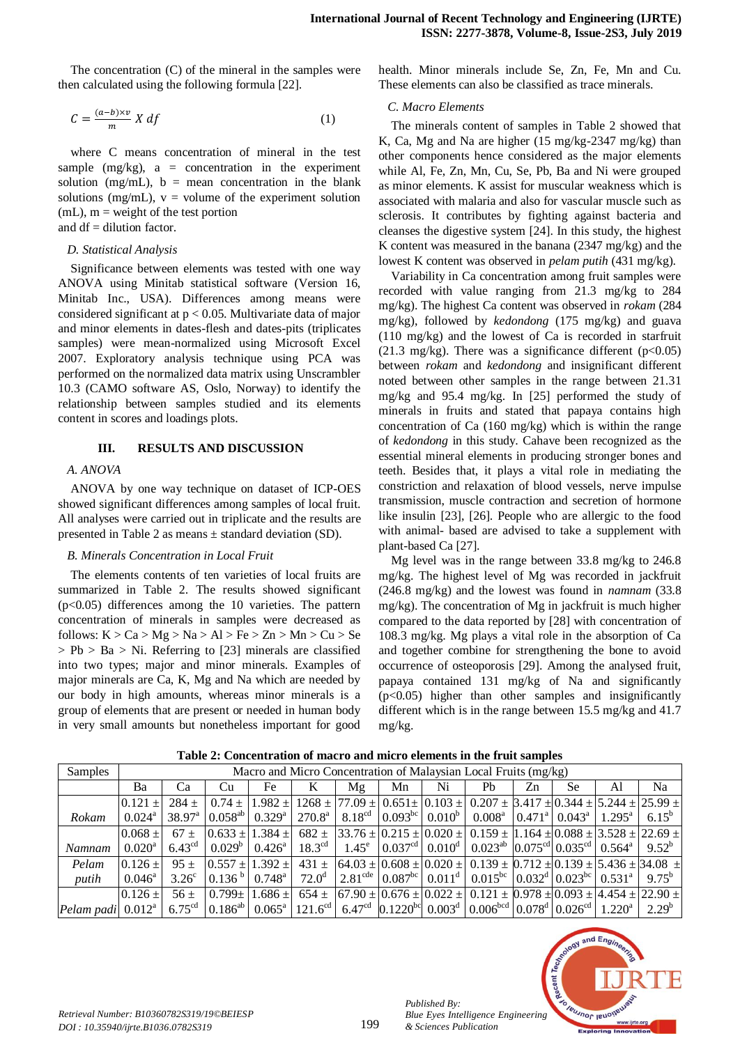The concentration (C) of the mineral in the samples were then calculated using the following formula [22].

$$
C = \frac{(a-b)\times v}{m} X df
$$
 (1)

where C means concentration of mineral in the test sample  $(mg/kg)$ , a = concentration in the experiment solution (mg/mL),  $b =$  mean concentration in the blank solutions (mg/mL),  $v =$  volume of the experiment solution  $(mL)$ ,  $m =$  weight of the test portion and  $df =$  dilution factor.

## *D. Statistical Analysis*

Significance between elements was tested with one way ANOVA using Minitab statistical software (Version 16, Minitab Inc., USA). Differences among means were considered significant at  $p < 0.05$ . Multivariate data of major and minor elements in dates-flesh and dates-pits (triplicates samples) were mean-normalized using Microsoft Excel 2007. Exploratory analysis technique using PCA was performed on the normalized data matrix using Unscrambler 10.3 (CAMO software AS, Oslo, Norway) to identify the relationship between samples studied and its elements content in scores and loadings plots.

## **III. RESULTS AND DISCUSSION**

# *A. ANOVA*

ANOVA by one way technique on dataset of ICP-OES showed significant differences among samples of local fruit. All analyses were carried out in triplicate and the results are presented in Table 2 as means ± standard deviation (SD).

#### *B. Minerals Concentration in Local Fruit*

The elements contents of ten varieties of local fruits are summarized in Table 2. The results showed significant  $(p<0.05)$  differences among the 10 varieties. The pattern concentration of minerals in samples were decreased as follows:  $K > Ca > Mg > Na > Al > Fe > Zn > Mn > Cu > Se$  $> Pb > Ba > Ni$ . Referring to [23] minerals are classified into two types; major and minor minerals. Examples of major minerals are Ca, K, Mg and Na which are needed by our body in high amounts, whereas minor minerals is a group of elements that are present or needed in human body in very small amounts but nonetheless important for good

health. Minor minerals include Se, Zn, Fe, Mn and Cu. These elements can also be classified as trace minerals.

## *C. Macro Elements*

The minerals content of samples in Table 2 showed that K, Ca, Mg and Na are higher (15 mg/kg-2347 mg/kg) than other components hence considered as the major elements while Al, Fe, Zn, Mn, Cu, Se, Pb, Ba and Ni were grouped as minor elements. K assist for muscular weakness which is associated with malaria and also for vascular muscle such as sclerosis. It contributes by fighting against bacteria and cleanses the digestive system [24]. In this study, the highest K content was measured in the banana (2347 mg/kg) and the lowest K content was observed in *pelam putih* (431 mg/kg).

Variability in Ca concentration among fruit samples were recorded with value ranging from 21.3 mg/kg to 284 mg/kg). The highest Ca content was observed in *rokam* (284 mg/kg), followed by *kedondong* (175 mg/kg) and guava (110 mg/kg) and the lowest of Ca is recorded in starfruit (21.3 mg/kg). There was a significance different ( $p<0.05$ ) between *rokam* and *kedondong* and insignificant different noted between other samples in the range between 21.31 mg/kg and 95.4 mg/kg. In [25] performed the study of minerals in fruits and stated that papaya contains high concentration of Ca (160 mg/kg) which is within the range of *kedondong* in this study. Cahave been recognized as the essential mineral elements in producing stronger bones and teeth. Besides that, it plays a vital role in mediating the constriction and relaxation of blood vessels, nerve impulse transmission, muscle contraction and secretion of hormone like insulin [23], [26]. People who are allergic to the food with animal- based are advised to take a supplement with plant-based Ca [27].

Mg level was in the range between 33.8 mg/kg to 246.8 mg/kg. The highest level of Mg was recorded in jackfruit (246.8 mg/kg) and the lowest was found in *namnam* (33.8 mg/kg). The concentration of Mg in jackfruit is much higher compared to the data reported by [28] with concentration of 108.3 mg/kg. Mg plays a vital role in the absorption of Ca and together combine for strengthening the bone to avoid occurrence of osteoporosis [29]. Among the analysed fruit, papaya contained 131 mg/kg of Na and significantly  $(p<0.05)$  higher than other samples and insignificantly different which is in the range between 15.5 mg/kg and 41.7 mg/kg.

| Samples              | Macro and Micro Concentration of Malaysian Local Fruits (mg/kg) |                    |    |                       |  |    |    |    |                                                                                                                                                                                                                                                                                                                  |    |           |    |            |
|----------------------|-----------------------------------------------------------------|--------------------|----|-----------------------|--|----|----|----|------------------------------------------------------------------------------------------------------------------------------------------------------------------------------------------------------------------------------------------------------------------------------------------------------------------|----|-----------|----|------------|
|                      | Ba                                                              | Ca                 | Cu | Fe                    |  | Mε | Mn | Ni | Ph                                                                                                                                                                                                                                                                                                               | Zn | <b>Se</b> | Al | Na         |
|                      | $0.121 +$                                                       | $284 +$            |    |                       |  |    |    |    | $0.74 \pm 1.982 \pm 1268 \pm 77.09 \pm 0.651 \pm 0.103 \pm 0.207 \pm 3.417 \pm 0.344 \pm 5.244 \pm 25.99 \pm 0.021$                                                                                                                                                                                              |    |           |    |            |
| Rokam                | $0.024^{\circ}$                                                 |                    |    |                       |  |    |    |    | $38.97^{\text{a}}$ $0.058^{\text{ab}}$ $0.329^{\text{a}}$ $270.8^{\text{a}}$ $8.18^{\text{cd}}$ $0.093^{\text{bc}}$ $0.010^{\text{b}}$ $0.008^{\text{a}}$ $0.471^{\text{a}}$ $0.043^{\text{a}}$ $1.295^{\text{a}}$ $0.295^{\text{a}}$                                                                            |    |           |    | $6.15^{b}$ |
|                      | $0.068 +$                                                       | $67+$              |    | $0.633 \pm 1.384 \pm$ |  |    |    |    | $682 \pm  33.76 \pm  0.215 \pm  0.020 \pm  0.159 \pm  1.164 \pm  0.088 \pm  3.528 \pm  22.69 \pm  0.088 \pm  0.088 \pm  0.008 \pm  0.008 \pm  0.008 \pm  0.008 \pm  0.008 \pm  0.008 \pm  0.008 \pm  0.008 \pm  0.008 \pm  0.008 \pm  0.008 \pm  0.008 \pm  0.008 \pm  0.008 \pm  0.008 \pm  0.008 \pm  0.008 \$ |    |           |    |            |
| Namnam               | $0.020^{\rm a}$                                                 | 6.43 <sup>cd</sup> |    |                       |  |    |    |    | $\mid 0.029^{\circ} \mid 0.426^{\circ} \mid 18.3^{\circ d} \mid 1.45^{\circ} \mid 0.037^{\circ d} \mid 0.010^d \mid 0.023^{\circ d} \mid 0.075^{\circ d} \mid 0.035^{\circ d} \mid 0.564^{\circ} \mid 9.52^{\circ b}$                                                                                            |    |           |    |            |
| Pelam                | $0.126 \pm 1$                                                   | $95 +$             |    | $0.557 + 1.392 +$     |  |    |    |    | $431 \pm 64.03 \pm 0.608 \pm 0.020 \pm 0.139 \pm 0.712 \pm 0.139 \pm 5.436 \pm 34.08 \pm 1.02$                                                                                                                                                                                                                   |    |           |    |            |
| putih                | $0.046^{\circ}$                                                 | $3.26^{\circ}$     |    |                       |  |    |    |    | $\left[0.136^{b}\right]0.748^{a}\left[72.0^{d}\right]2.81^{cde}\left[0.087^{bc}\right]0.011^{d}\left[0.015^{bc}\right]0.032^{d}\left[0.023^{bc}\right]0.531^{a}\right]$                                                                                                                                          |    |           |    | $9.75^{b}$ |
|                      | $0.126 \pm 1$                                                   | $56 +$             |    | $0.799 \pm 1.686 \pm$ |  |    |    |    | $654 \pm  67.90 \pm  0.676 \pm  0.022 \pm  0.121 \pm  0.978 \pm  0.093 \pm  4.454 \pm  22.90 \pm$                                                                                                                                                                                                                |    |           |    |            |
| Pelam padi $0.012^a$ |                                                                 |                    |    |                       |  |    |    |    | $6.75^{\text{cd}}$ $\vert 0.186^{\text{ab}} \vert 0.065^{\text{a}} \vert 121.6^{\text{cd}} \vert 6.47^{\text{cd}}$ $\vert 0.1220^{\text{bc}} \vert 0.003^{\text{d}} \vert 0.006^{\text{bcd}} \vert 0.078^{\text{d}} \vert 0.026^{\text{cd}} \vert 1.220^{\text{a}} \vert 2.29^{\text{b}}$                        |    |           |    |            |

**Table 2: Concentration of macro and micro elements in the fruit samples**



*Published By:*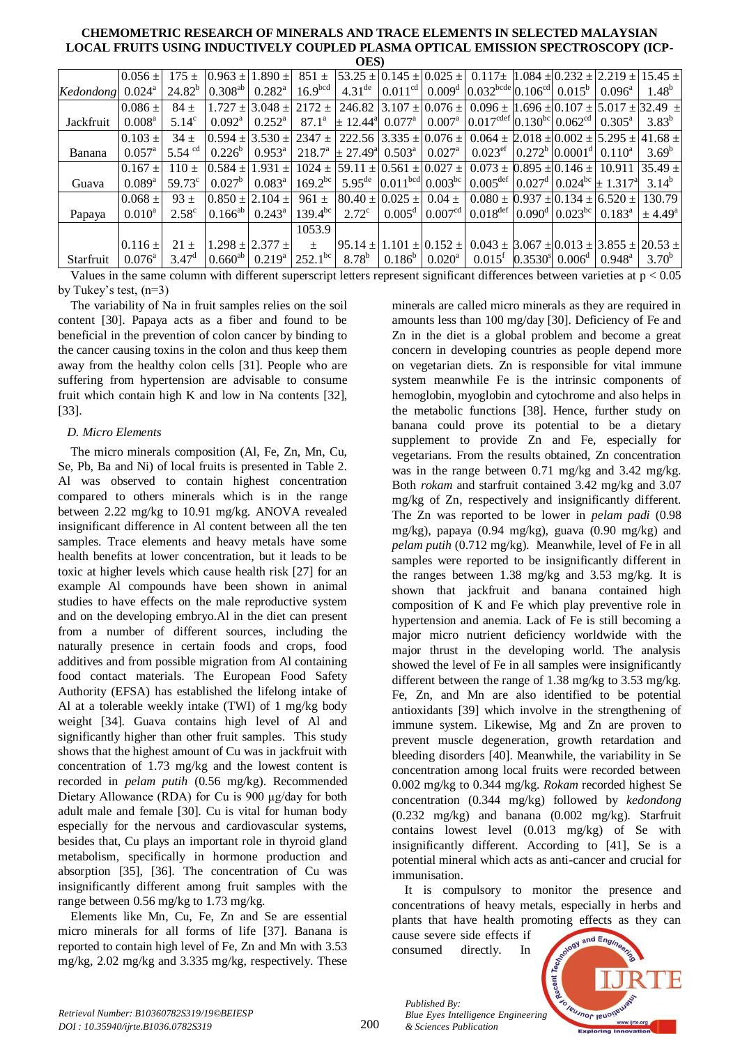| UL JI     |                 |                 |                                 |                         |                     |                                                                              |           |                                       |                                                                                                                                                                                                                                                                                         |  |                                        |                 |                 |
|-----------|-----------------|-----------------|---------------------------------|-------------------------|---------------------|------------------------------------------------------------------------------|-----------|---------------------------------------|-----------------------------------------------------------------------------------------------------------------------------------------------------------------------------------------------------------------------------------------------------------------------------------------|--|----------------------------------------|-----------------|-----------------|
|           | $0.056 \pm$     | $175 +$         |                                 | $[0.963 + 1.890 +]$     |                     |                                                                              |           |                                       | $851 \pm 53.25 \pm 0.145 \pm 0.025 \pm 0.117 \pm 1.084 \pm 0.232 \pm 2.219 \pm 1.025$                                                                                                                                                                                                   |  |                                        |                 | $15.45 +$       |
| Kedondong | $0.024^{\rm a}$ | $24.82^{b}$     | $0.308^{ab}$                    | $0.282^{\rm a}$         | 16.9 <sup>bcd</sup> | $4.31^{\text{de}}$                                                           |           |                                       | $0.011cd$ 0.009 <sup>d</sup> 0.032 <sup>bcde</sup> 0.106 <sup>cd</sup> 0.015 <sup>b</sup>                                                                                                                                                                                               |  |                                        | $0.096^{\rm a}$ | $1.48^{b}$      |
|           | $0.086 +$       | $84 +$          |                                 | $1.727 + 3.048 +$       | $2172 +$            |                                                                              |           | 246.82 3.107 $\pm$ 0.076 $\pm$        | $0.096 \pm 1.696 \pm 0.107 \pm 5.017 \pm 32.49 \pm 1.002$                                                                                                                                                                                                                               |  |                                        |                 |                 |
| Jackfruit | $0.008^{\rm a}$ | $5.14^{\circ}$  | $0.092^{\rm a}$                 | $0.252^{\rm a}$         | $87.1^{\circ}$      | $+ 12.44^{\circ}$ 0.077 <sup>a</sup>                                         |           |                                       | $0.007^{\text{a}}$ 0.017 <sup>cdef</sup> 0.130 <sup>bc</sup> 0.062 <sup>cd</sup> 0.305 <sup>a</sup>                                                                                                                                                                                     |  |                                        |                 | $3.83^{b}$      |
|           | $0.103 \pm$     | $34 +$          |                                 |                         |                     |                                                                              |           |                                       | $(0.594 \pm 3.530 \pm 2347 \pm 222.56 \pm 3.335 \pm 0.076 \pm 0.064 \pm 2.018 \pm 0.002 \pm 5.295 \pm 41.68 \pm 0.002 \pm 0.002 \pm 0.002 \pm 0.002 \pm 0.002 \pm 0.002 \pm 0.002 \pm 0.002 \pm 0.002 \pm 0.002 \pm 0.002 \pm 0.002 \pm 0.002 \pm 0.002 \pm 0.002 \pm 0.002 \pm 0.0$    |  |                                        |                 |                 |
| Banana    | $0.057^{\rm a}$ | 5.54 $\degree$  | $0.226^{b}$                     | $0.953^{\rm a}$         |                     | $218.7^{\circ}$ + 27.49 <sup>a</sup> 0.503 <sup>a</sup>   0.027 <sup>a</sup> |           |                                       | $0.023$ <sup>ef</sup> $\left  0.272^b \right  0.0001^d \left  0.110^a \right $                                                                                                                                                                                                          |  |                                        |                 | $3.69^{b}$      |
|           | $0.167 +$       | $110 +$         | $0.584 +$                       | $1.931 +$               |                     |                                                                              |           |                                       | $1024 \pm 59.11 \pm 0.561 \pm 0.027 \pm 0.073 \pm 0.895 \pm 0.146 \pm 10.911$                                                                                                                                                                                                           |  |                                        |                 | $35.49 +$       |
| Guava     | $0.089^{a}$     | $59.73^{\circ}$ | $0.027^b$                       | $0.083^{\rm a}$         | $169.2^{bc}$        |                                                                              |           | 5.95 <sup>de</sup> $0.011bcd 0.003bc$ | $0.005^{\text{def}}   0.027^{\text{d}}   0.024^{\text{bc}} \pm 1.317^{\text{a}}$                                                                                                                                                                                                        |  |                                        |                 | $3.14^{b}$      |
|           | $0.068 +$       | $93 +$          |                                 | $0.850 + 2.104 +$       |                     |                                                                              |           |                                       | $0.080 \pm 0.937 \pm 0.134 \pm 0.520 \pm 0.002$                                                                                                                                                                                                                                         |  |                                        |                 | 130.79          |
| Papaya    | $0.010^a$       | $2.58^{\circ}$  | $0.166^{ab}$ 0.243 <sup>a</sup> |                         | $139.4^{bc}$        | $2.72^{\circ}$                                                               |           | $0.005^d$ 0.007 <sup>cd</sup>         | $0.018^{\text{def}}   0.090^{\text{d}}   0.023^{\text{bc}}   0.183^{\text{a}}$                                                                                                                                                                                                          |  |                                        |                 | $+4.49^{\rm a}$ |
|           |                 |                 |                                 |                         | 1053.9              |                                                                              |           |                                       |                                                                                                                                                                                                                                                                                         |  |                                        |                 |                 |
|           | $0.116 \pm$     | $21 \pm$        |                                 | $1.298 \pm 2.377 \pm 1$ | $\pm$               |                                                                              |           |                                       | $\left[95.14 \pm 1.101 \pm 0.152 \pm 0.043 \pm 3.067 \pm 0.013 \pm 3.855 \pm 20.53 \pm 0.013 \pm 0.013 \pm 0.013 \pm 0.013 \pm 0.013 \pm 0.013 \pm 0.013 \pm 0.013 \pm 0.013 \pm 0.013 \pm 0.013 \pm 0.013 \pm 0.013 \pm 0.013 \pm 0.013 \pm 0.013 \pm 0.013 \pm 0.013 \pm 0.013 \pm 0$ |  |                                        |                 |                 |
| Starfruit | $0.076^{\circ}$ | $3.47^{\circ}$  | $0.660^{ab}$                    | $0.219^{a}$             | $ 252.1^{bc} $      | $8.78^b$                                                                     | $0.186^b$ | $0.020^{\rm a}$                       | $0.015^{\rm t}$                                                                                                                                                                                                                                                                         |  | $0.3530^{8}$ $0.006^{d}$   $0.948^{a}$ |                 | $3.70^{b}$      |

Values in the same column with different superscript letters represent significant differences between varieties at  $p < 0.05$ by Tukey's test, (n=3)

The variability of Na in fruit samples relies on the soil content [30]. Papaya acts as a fiber and found to be beneficial in the prevention of colon cancer by binding to the cancer causing toxins in the colon and thus keep them away from the healthy colon cells [31]. People who are suffering from hypertension are advisable to consume fruit which contain high K and low in Na contents [32], [33].

# *D. Micro Elements*

The micro minerals composition (Al, Fe, Zn, Mn, Cu, Se, Pb, Ba and Ni) of local fruits is presented in Table 2. Al was observed to contain highest concentration compared to others minerals which is in the range between 2.22 mg/kg to 10.91 mg/kg. ANOVA revealed insignificant difference in Al content between all the ten samples. Trace elements and heavy metals have some health benefits at lower concentration, but it leads to be toxic at higher levels which cause health risk [27] for an example Al compounds have been shown in animal studies to have effects on the male reproductive system and on the developing embryo.Al in the diet can present from a number of different sources, including the naturally presence in certain foods and crops, food additives and from possible migration from Al containing food contact materials. The European Food Safety Authority (EFSA) has established the lifelong intake of Al at a tolerable weekly intake (TWI) of 1 mg/kg body weight [34]. Guava contains high level of Al and significantly higher than other fruit samples. This study shows that the highest amount of Cu was in jackfruit with concentration of 1.73 mg/kg and the lowest content is recorded in *pelam putih* (0.56 mg/kg). Recommended Dietary Allowance (RDA) for Cu is 900 μg/day for both adult male and female [30]. Cu is vital for human body especially for the nervous and cardiovascular systems, besides that, Cu plays an important role in thyroid gland metabolism, specifically in hormone production and absorption [35], [36]. The concentration of Cu was insignificantly different among fruit samples with the range between 0.56 mg/kg to 1.73 mg/kg.

Elements like Mn, Cu, Fe, Zn and Se are essential micro minerals for all forms of life [37]. Banana is reported to contain high level of Fe, Zn and Mn with 3.53 mg/kg, 2.02 mg/kg and 3.335 mg/kg, respectively. These

minerals are called micro minerals as they are required in amounts less than 100 mg/day [30]. Deficiency of Fe and Zn in the diet is a global problem and become a great concern in developing countries as people depend more on vegetarian diets. Zn is responsible for vital immune system meanwhile Fe is the intrinsic components of hemoglobin, myoglobin and cytochrome and also helps in the metabolic functions [38]. Hence, further study on banana could prove its potential to be a dietary supplement to provide Zn and Fe, especially for vegetarians. From the results obtained, Zn concentration was in the range between 0.71 mg/kg and 3.42 mg/kg. Both *rokam* and starfruit contained 3.42 mg/kg and 3.07 mg/kg of Zn, respectively and insignificantly different. The Zn was reported to be lower in *pelam padi* (0.98 mg/kg), papaya (0.94 mg/kg), guava (0.90 mg/kg) and *pelam putih* (0.712 mg/kg). Meanwhile, level of Fe in all samples were reported to be insignificantly different in the ranges between 1.38 mg/kg and 3.53 mg/kg. It is shown that jackfruit and banana contained high composition of K and Fe which play preventive role in hypertension and anemia. Lack of Fe is still becoming a major micro nutrient deficiency worldwide with the major thrust in the developing world. The analysis showed the level of Fe in all samples were insignificantly different between the range of 1.38 mg/kg to 3.53 mg/kg. Fe, Zn, and Mn are also identified to be potential antioxidants [39] which involve in the strengthening of immune system. Likewise, Mg and Zn are proven to prevent muscle degeneration, growth retardation and bleeding disorders [40]. Meanwhile, the variability in Se concentration among local fruits were recorded between 0.002 mg/kg to 0.344 mg/kg. *Rokam* recorded highest Se concentration (0.344 mg/kg) followed by *kedondong* (0.232 mg/kg) and banana (0.002 mg/kg). Starfruit contains lowest level (0.013 mg/kg) of Se with insignificantly different. According to [41], Se is a potential mineral which acts as anti-cancer and crucial for immunisation.

It is compulsory to monitor the presence and concentrations of heavy metals, especially in herbs and plants that have health promoting effects as they can

cause severe side effects if consumed directly. In

*Published By:*

*& Sciences Publication* 



*Retrieval Number: B10360782S319/19©BEIESP DOI : 10.35940/ijrte.B1036.0782S319*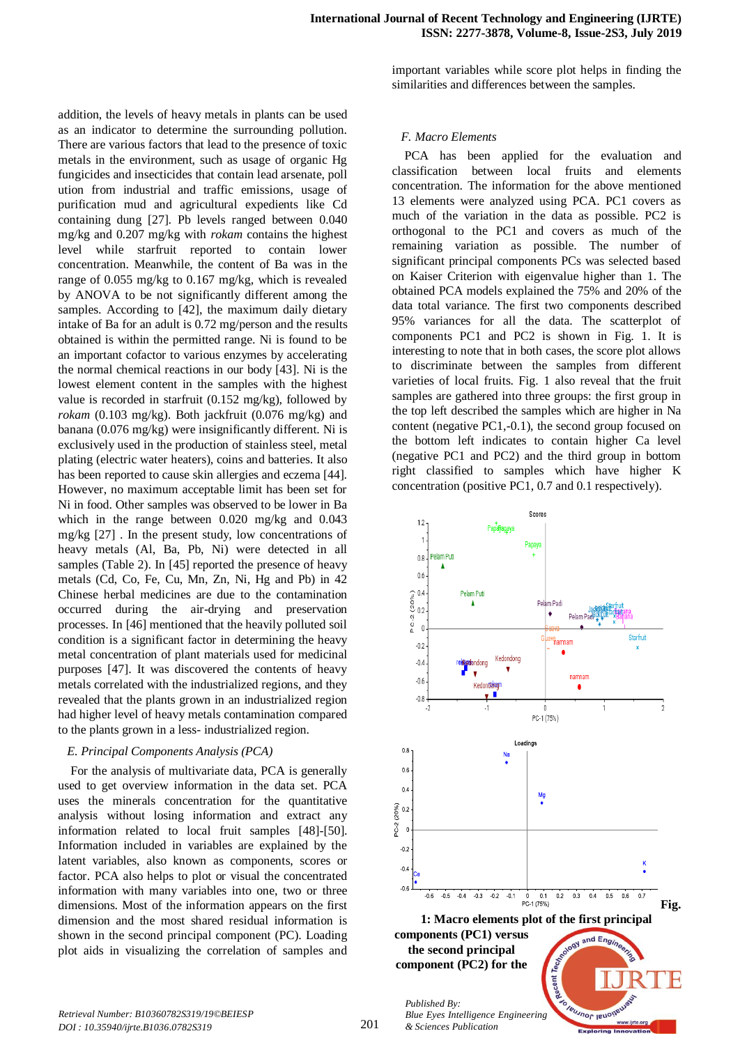addition, the levels of heavy metals in plants can be used as an indicator to determine the surrounding pollution. There are various factors that lead to the presence of toxic metals in the environment, such as usage of organic Hg fungicides and insecticides that contain lead arsenate, poll ution from industrial and traffic emissions, usage of purification mud and agricultural expedients like Cd containing dung [27]. Pb levels ranged between 0.040 mg/kg and 0.207 mg/kg with *rokam* contains the highest level while starfruit reported to contain lower concentration. Meanwhile, the content of Ba was in the range of 0.055 mg/kg to 0.167 mg/kg, which is revealed by ANOVA to be not significantly different among the samples. According to [42], the maximum daily dietary intake of Ba for an adult is 0.72 mg/person and the results obtained is within the permitted range. Ni is found to be an important cofactor to various enzymes by accelerating the normal chemical reactions in our body [43]. Ni is the lowest element content in the samples with the highest value is recorded in starfruit (0.152 mg/kg), followed by *rokam* (0.103 mg/kg). Both jackfruit (0.076 mg/kg) and banana (0.076 mg/kg) were insignificantly different. Ni is exclusively used in the production of stainless steel, metal plating (electric water heaters), coins and batteries. It also has been reported to cause skin allergies and eczema [44]. However, no maximum acceptable limit has been set for Ni in food. Other samples was observed to be lower in Ba which in the range between 0.020 mg/kg and 0.043 mg/kg [27] . In the present study, low concentrations of heavy metals (Al, Ba, Pb, Ni) were detected in all samples (Table 2). In [45] reported the presence of heavy metals (Cd, Co, Fe, Cu, Mn, Zn, Ni, Hg and Pb) in 42 Chinese herbal medicines are due to the contamination occurred during the air-drying and preservation processes. In [46] mentioned that the heavily polluted soil condition is a significant factor in determining the heavy metal concentration of plant materials used for medicinal purposes [47]. It was discovered the contents of heavy metals correlated with the industrialized regions, and they revealed that the plants grown in an industrialized region had higher level of heavy metals contamination compared to the plants grown in a less- industrialized region.

## *E. Principal Components Analysis (PCA)*

For the analysis of multivariate data, PCA is generally used to get overview information in the data set. PCA uses the minerals concentration for the quantitative analysis without losing information and extract any information related to local fruit samples [48]-[50]. Information included in variables are explained by the latent variables, also known as components, scores or factor. PCA also helps to plot or visual the concentrated information with many variables into one, two or three dimensions. Most of the information appears on the first dimension and the most shared residual information is shown in the second principal component (PC). Loading plot aids in visualizing the correlation of samples and

important variables while score plot helps in finding the similarities and differences between the samples.

## *F. Macro Elements*

PCA has been applied for the evaluation and classification between local fruits and elements concentration. The information for the above mentioned 13 elements were analyzed using PCA. PC1 covers as much of the variation in the data as possible. PC2 is orthogonal to the PC1 and covers as much of the remaining variation as possible. The number of significant principal components PCs was selected based on Kaiser Criterion with eigenvalue higher than 1. The obtained PCA models explained the 75% and 20% of the data total variance. The first two components described 95% variances for all the data. The scatterplot of components PC1 and PC2 is shown in Fig. 1. It is interesting to note that in both cases, the score plot allows to discriminate between the samples from different varieties of local fruits. Fig. 1 also reveal that the fruit samples are gathered into three groups: the first group in the top left described the samples which are higher in Na content (negative PC1,-0.1), the second group focused on the bottom left indicates to contain higher Ca level (negative PC1 and PC2) and the third group in bottom right classified to samples which have higher K concentration (positive PC1, 0.7 and 0.1 respectively).

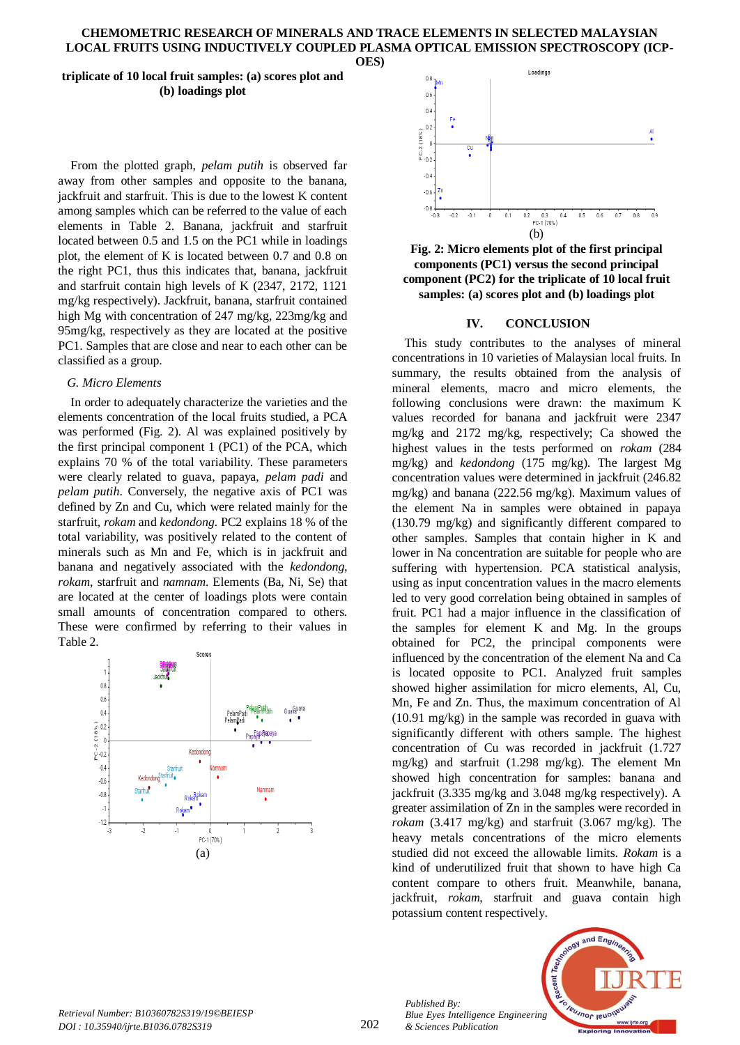## **triplicate of 10 local fruit samples: (a) scores plot and (b) loadings plot**

From the plotted graph, *pelam putih* is observed far away from other samples and opposite to the banana, jackfruit and starfruit. This is due to the lowest K content among samples which can be referred to the value of each elements in Table 2. Banana, jackfruit and starfruit located between 0.5 and 1.5 on the PC1 while in loadings plot, the element of K is located between 0.7 and 0.8 on the right PC1, thus this indicates that, banana, jackfruit and starfruit contain high levels of K (2347, 2172, 1121 mg/kg respectively). Jackfruit, banana, starfruit contained high Mg with concentration of 247 mg/kg, 223mg/kg and 95mg/kg, respectively as they are located at the positive PC1. Samples that are close and near to each other can be classified as a group.

## *G. Micro Elements*

In order to adequately characterize the varieties and the elements concentration of the local fruits studied, a PCA was performed (Fig. 2). Al was explained positively by the first principal component 1 (PC1) of the PCA, which explains 70 % of the total variability. These parameters were clearly related to guava, papaya, *pelam padi* and *pelam putih*. Conversely, the negative axis of PC1 was defined by Zn and Cu, which were related mainly for the starfruit, *rokam* and *kedondong*. PC2 explains 18 % of the total variability, was positively related to the content of minerals such as Mn and Fe, which is in jackfruit and banana and negatively associated with the *kedondong*, *rokam*, starfruit and *namnam*. Elements (Ba, Ni, Se) that are located at the center of loadings plots were contain small amounts of concentration compared to others. These were confirmed by referring to their values in Table 2.





**Fig. 2: Micro elements plot of the first principal components (PC1) versus the second principal component (PC2) for the triplicate of 10 local fruit samples: (a) scores plot and (b) loadings plot**

### **IV. CONCLUSION**

This study contributes to the analyses of mineral concentrations in 10 varieties of Malaysian local fruits. In summary, the results obtained from the analysis of mineral elements, macro and micro elements, the following conclusions were drawn: the maximum K values recorded for banana and jackfruit were 2347 mg/kg and 2172 mg/kg, respectively; Ca showed the highest values in the tests performed on *rokam* (284 mg/kg) and *kedondong* (175 mg/kg). The largest Mg concentration values were determined in jackfruit (246.82 mg/kg) and banana (222.56 mg/kg). Maximum values of the element Na in samples were obtained in papaya (130.79 mg/kg) and significantly different compared to other samples. Samples that contain higher in K and lower in Na concentration are suitable for people who are suffering with hypertension. PCA statistical analysis, using as input concentration values in the macro elements led to very good correlation being obtained in samples of fruit. PC1 had a major influence in the classification of the samples for element K and Mg. In the groups obtained for PC2, the principal components were influenced by the concentration of the element Na and Ca is located opposite to PC1. Analyzed fruit samples showed higher assimilation for micro elements, Al, Cu, Mn, Fe and Zn. Thus, the maximum concentration of Al (10.91 mg/kg) in the sample was recorded in guava with significantly different with others sample. The highest concentration of Cu was recorded in jackfruit (1.727 mg/kg) and starfruit (1.298 mg/kg). The element Mn showed high concentration for samples: banana and jackfruit (3.335 mg/kg and 3.048 mg/kg respectively). A greater assimilation of Zn in the samples were recorded in *rokam* (3.417 mg/kg) and starfruit (3.067 mg/kg). The heavy metals concentrations of the micro elements studied did not exceed the allowable limits. *Rokam* is a kind of underutilized fruit that shown to have high Ca content compare to others fruit. Meanwhile, banana, jackfruit, *rokam*, starfruit and guava contain high potassium content respectively.

*Retrieval Number: B10360782S319/19©BEIESP DOI : 10.35940/ijrte.B1036.0782S319*

202

*Published By: Blue Eyes Intelligence Engineering & Sciences Publication* 

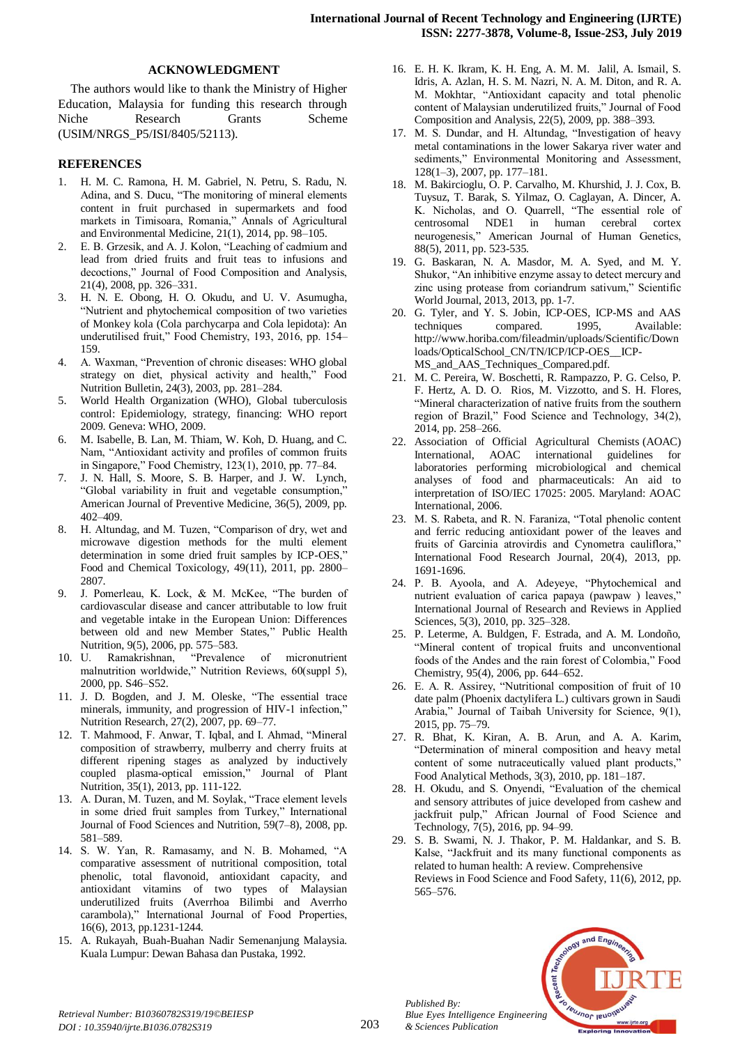## **ACKNOWLEDGMENT**

The authors would like to thank the Ministry of Higher Education, Malaysia for funding this research through Niche Research Grants Scheme (USIM/NRGS\_P5/ISI/8405/52113).

## **REFERENCES**

- 1. H. M. C. Ramona, H. M. Gabriel, N. Petru, S. Radu, N. Adina, and S. Ducu, "The monitoring of mineral elements content in fruit purchased in supermarkets and food markets in Timisoara, Romania," Annals of Agricultural and Environmental Medicine, 21(1), 2014, pp. 98–105.
- 2. E. B. Grzesik, and A. J. Kolon, "Leaching of cadmium and lead from dried fruits and fruit teas to infusions and decoctions," Journal of Food Composition and Analysis, 21(4), 2008, pp. 326–331.
- 3. H. N. E. Obong, H. O. Okudu, and U. V. Asumugha, "Nutrient and phytochemical composition of two varieties of Monkey kola (Cola parchycarpa and Cola lepidota): An underutilised fruit," Food Chemistry, 193, 2016, pp. 154– 159.
- 4. A. Waxman, "Prevention of chronic diseases: WHO global strategy on diet, physical activity and health," Food Nutrition Bulletin, 24(3), 2003, pp. 281–284.
- 5. World Health Organization (WHO), Global tuberculosis control: Epidemiology, strategy, financing: WHO report 2009. Geneva: WHO, 2009.
- 6. M. Isabelle, B. Lan, M. Thiam, W. Koh, D. Huang, and C. Nam, "Antioxidant activity and profiles of common fruits in Singapore," Food Chemistry, 123(1), 2010, pp. 77–84.
- 7. J. N. Hall, S. Moore, S. B. Harper, and J. W. Lynch, "Global variability in fruit and vegetable consumption," American Journal of Preventive Medicine, 36(5), 2009, pp. 402–409.
- 8. H. Altundag, and M. Tuzen, "Comparison of dry, wet and microwave digestion methods for the multi element determination in some dried fruit samples by ICP-OES," Food and Chemical Toxicology, 49(11), 2011, pp. 2800– 2807.
- 9. J. Pomerleau, K. Lock, & M. McKee, "The burden of cardiovascular disease and cancer attributable to low fruit and vegetable intake in the European Union: Differences between old and new Member States," Public Health Nutrition, 9(5), 2006, pp. 575–583.
- 10. U. Ramakrishnan, "Prevalence of micronutrient malnutrition worldwide," Nutrition Reviews, 60(suppl 5), 2000, pp. S46–S52.
- 11. J. D. Bogden, and J. M. Oleske, "The essential trace minerals, immunity, and progression of HIV-1 infection," Nutrition Research, 27(2), 2007, pp. 69–77.
- 12. T. Mahmood, F. Anwar, T. Iqbal, and I. Ahmad, "Mineral composition of strawberry, mulberry and cherry fruits at different ripening stages as analyzed by inductively coupled plasma-optical emission," Journal of Plant Nutrition, 35(1), 2013, pp. 111-122.
- 13. A. Duran, M. Tuzen, and M. Soylak, "Trace element levels in some dried fruit samples from Turkey," International Journal of Food Sciences and Nutrition, 59(7–8), 2008, pp. 581–589.
- 14. S. W. Yan, R. Ramasamy, and N. B. Mohamed, "A comparative assessment of nutritional composition, total phenolic, total flavonoid, antioxidant capacity, and antioxidant vitamins of two types of Malaysian underutilized fruits (Averrhoa Bilimbi and Averrho carambola)," International Journal of Food Properties, 16(6), 2013, pp.1231-1244.
- 15. A. Rukayah, Buah-Buahan Nadir Semenanjung Malaysia. Kuala Lumpur: Dewan Bahasa dan Pustaka, 1992.
- 16. E. H. K. Ikram, K. H. Eng, A. M. M. Jalil, A. Ismail, S. Idris, A. Azlan, H. S. M. Nazri, N. A. M. Diton, and R. A. M. Mokhtar, "Antioxidant capacity and total phenolic content of Malaysian underutilized fruits," Journal of Food Composition and Analysis, 22(5), 2009, pp. 388–393.
- 17. M. S. Dundar, and H. Altundag, "Investigation of heavy metal contaminations in the lower Sakarya river water and sediments," Environmental Monitoring and Assessment, 128(1–3), 2007, pp. 177–181.
- 18. M. Bakircioglu, O. P. Carvalho, M. Khurshid, J. J. Cox, B. Tuysuz, T. Barak, S. Yilmaz, O. Caglayan, A. Dincer, A. K. Nicholas, and O. Quarrell, "The essential role of centrosomal NDE1 in human cerebral cortex neurogenesis," American Journal of Human Genetics, 88(5), 2011, pp. 523-535.
- 19. G. Baskaran, N. A. Masdor, M. A. Syed, and M. Y. Shukor, "An inhibitive enzyme assay to detect mercury and zinc using protease from coriandrum sativum," Scientific World Journal, 2013, 2013, pp. 1-7.
- 20. G. Tyler, and Y. S. Jobin, ICP-OES, ICP-MS and AAS techniques compared. 1995, Available: http://www.horiba.com/fileadmin/uploads/Scientific/Down loads/OpticalSchool\_CN/TN/ICP/ICP-OES\_\_ICP-MS\_and\_AAS\_Techniques\_Compared.pdf.
- 21. M. C. Pereira, W. Boschetti, R. Rampazzo, P. G. Celso, P. F. Hertz, A. D. O. Rios, M. Vizzotto, and S. H. Flores, "Mineral characterization of native fruits from the southern region of Brazil," Food Science and Technology, 34(2), 2014, pp. 258–266.
- 22. Association of Official Agricultural Chemists (AOAC) International, AOAC international guidelines for laboratories performing microbiological and chemical analyses of food and pharmaceuticals: An aid to interpretation of ISO/IEC 17025: 2005. Maryland: AOAC International, 2006.
- 23. M. S. Rabeta, and R. N. Faraniza, "Total phenolic content and ferric reducing antioxidant power of the leaves and fruits of Garcinia atrovirdis and Cynometra cauliflora," International Food Research Journal, 20(4), 2013, pp. 1691-1696.
- 24. P. B. Ayoola, and A. Adeyeye, "Phytochemical and nutrient evaluation of carica papaya (pawpaw ) leaves," International Journal of Research and Reviews in Applied Sciences, 5(3), 2010, pp. 325–328.
- 25. P. Leterme, A. Buldgen, F. Estrada, and A. M. Londoño, "Mineral content of tropical fruits and unconventional foods of the Andes and the rain forest of Colombia," Food Chemistry, 95(4), 2006, pp. 644–652.
- 26. E. A. R. Assirey, "Nutritional composition of fruit of 10 date palm (Phoenix dactylifera L.) cultivars grown in Saudi Arabia," Journal of Taibah University for Science, 9(1), 2015, pp. 75–79.
- 27. R. Bhat, K. Kiran, A. B. Arun, and A. A. Karim, "Determination of mineral composition and heavy metal content of some nutraceutically valued plant products," Food Analytical Methods, 3(3), 2010, pp. 181–187.
- 28. H. Okudu, and S. Onyendi, "Evaluation of the chemical and sensory attributes of juice developed from cashew and jackfruit pulp," African Journal of Food Science and Technology, 7(5), 2016, pp. 94–99.
- 29. S. B. Swami, N. J. Thakor, P. M. Haldankar, and S. B. Kalse, "Jackfruit and its many functional components as related to human health: A review. Comprehensive Reviews in Food Science and Food Safety, 11(6), 2012, pp. 565–576.



*Published By:*